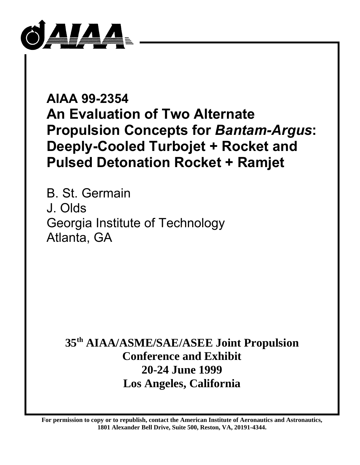

# **AIAA 99-2354 An Evaluation of Two Alternate Propulsion Concepts for** *Bantam-Argus***: Deeply-Cooled Turbojet + Rocket and Pulsed Detonation Rocket + Ramjet**

B. St. Germain J. Olds Georgia Institute of Technology Atlanta, GA

**35th AIAA/ASME/SAE/ASEE Joint Propulsion Conference and Exhibit 20-24 June 1999 Los Angeles, California**

**For permission to copy or to republish, contact the American Institute of Aeronautics and Astronautics, 1801 Alexander Bell Drive, Suite 500, Reston, VA, 20191-4344.**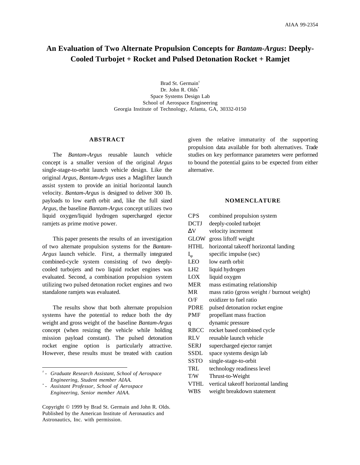# **An Evaluation of Two Alternate Propulsion Concepts for** *Bantam-Argus***: Deeply-Cooled Turbojet + Rocket and Pulsed Detonation Rocket + Ramjet**

Brad St. Germain† Dr. John R. Olds\* Space Systems Design Lab School of Aerospace Engineering Georgia Institute of Technology, Atlanta, GA, 30332-0150

#### **ABSTRACT**

The *Bantam-Argus* reusable launch vehicle concept is a smaller version of the original *Argus* single-stage-to-orbit launch vehicle design. Like the original *Argus*, *Bantam-Argus* uses a Maglifter launch assist system to provide an initial horizontal launch velocity. *Bantam-Argus* is designed to deliver 300 lb. payloads to low earth orbit and, like the full sized *Argus*, the baseline *Bantam-Argus* concept utilizes two liquid oxygen/liquid hydrogen supercharged ejector ramjets as prime motive power.

This paper presents the results of an investigation of two alternate propulsion systems for the *Bantam-Argus* launch vehicle. First, a thermally integrated combined-cycle system consisting of two deeplycooled turbojets and two liquid rocket engines was evaluated. Second, a combination propulsion system utilizing two pulsed detonation rocket engines and two standalone ramjets was evaluated.

The results show that both alternate propulsion systems have the potential to reduce both the dry weight and gross weight of the baseline *Bantam-Argus* concept (when resizing the vehicle while holding mission payload constant). The pulsed detonation rocket engine option is particularly attractive. However, these results must be treated with caution

given the relative immaturity of the supporting propulsion data available for both alternatives. Trade studies on key performance parameters were performed to bound the potential gains to be expected from either alternative.

# **NOMENCLATURE**

| <b>CPS</b>  | combined propulsion system                 |
|-------------|--------------------------------------------|
| <b>DCTJ</b> | deeply-cooled turbojet                     |
| ΛV          | velocity increment                         |
|             | GLOW gross liftoff weight                  |
| <b>HTHL</b> | horizontal takeoff horizontal landing      |
| $I_{sp}$    | specific impulse (sec)                     |
| <b>LEO</b>  | low earth orbit                            |
| LH2         | liquid hydrogen                            |
| LOX -       | liquid oxygen                              |
| <b>MER</b>  | mass estimating relationship               |
| <b>MR</b>   | mass ratio (gross weight / burnout weight) |
| O/F         | oxidizer to fuel ratio                     |
| PDRE        | pulsed detonation rocket engine            |
| <b>PMF</b>  | propellant mass fraction                   |
| q           | dynamic pressure                           |
| RBCC        | rocket based combined cycle                |
| <b>RLV</b>  | reusable launch vehicle                    |
| <b>SERJ</b> | supercharged ejector ramjet                |
| SSDL        | space systems design lab                   |
| <b>SSTO</b> | single-stage-to-orbit                      |
| TRL         | technology readiness level                 |
| T/W         | Thrust-to-Weight                           |
| VTHL        | vertical takeoff horizontal landing        |
| WBS         | weight breakdown statement                 |
|             |                                            |

*<sup>†</sup> - Graduate Research Assistant, School of Aerospace Engineering, Student member AIAA.*

*<sup>\*</sup> - Assistant Professor, School of Aerospace Engineering, Senior member AIAA.*

Copyright © 1999 by Brad St. Germain and John R. Olds. Published by the American Institute of Aeronautics and Astronautics, Inc. with permission.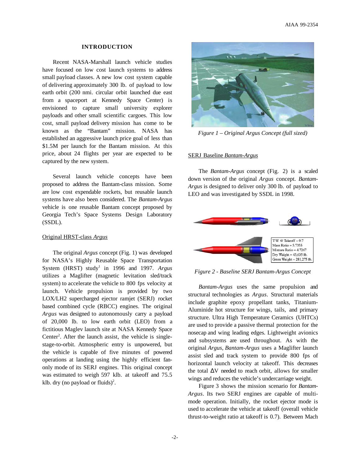## **INTRODUCTION**

Recent NASA-Marshall launch vehicle studies have focused on low cost launch systems to address small payload classes. A new low cost system capable of delivering approximately 300 lb. of payload to low earth orbit (200 nmi. circular orbit launched due east from a spaceport at Kennedy Space Center) is envisioned to capture small university explorer payloads and other small scientific cargoes. This low cost, small payload delivery mission has come to be known as the "Bantam" mission. NASA has established an aggressive launch price goal of less than \$1.5M per launch for the Bantam mission. At this price, about 24 flights per year are expected to be captured by the new system.

Several launch vehicle concepts have been proposed to address the Bantam-class mission. Some are low cost expendable rockets, but reusable launch systems have also been considered. The *Bantam-Argus* vehicle is one reusable Bantam concept proposed by Georgia Tech's Space Systems Design Laboratory (SSDL).

# Original HRST-class *Argus*

The original *Argus* concept (Fig. 1) was developed for NASA's Highly Reusable Space Transportation System (HRST) study<sup>1</sup> in 1996 and 1997. Argus utilizes a Maglifter (magnetic levitation sled/track system) to accelerate the vehicle to 800 fps velocity at launch. Vehicle propulsion is provided by two LOX/LH2 supercharged ejector ramjet (SERJ) rocket based combined cycle (RBCC) engines. The original *Argus* was designed to autonomously carry a payload of 20,000 lb. to low earth orbit (LEO) from a fictitious Maglev launch site at NASA Kennedy Space Center<sup>2</sup>. After the launch assist, the vehicle is singlestage-to-orbit. Atmospheric entry is unpowered, but the vehicle is capable of five minutes of powered operations at landing using the highly efficient fanonly mode of its SERJ engines. This original concept was estimated to weigh 597 klb. at takeoff and 75.5 klb. dry (no payload or fluids)<sup>2</sup>.



*Figure 1 – Original Argus Concept (full sized)*

# SERJ Baseline *Bantam-Argus*

The *Bantam-Argus* concept (Fig. 2) is a scaled down version of the original *Argus* concept. *Bantam-Argus* is designed to deliver only 300 lb. of payload to LEO and was investigated by SSDL in 1998.



*Figure 2 - Baseline SERJ Bantam-Argus Concept*

*Bantam-Argus* uses the same propulsion and structural technologies as *Argus*. Structural materials include graphite epoxy propellant tanks, Titanium-Aluminide hot structure for wings, tails, and primary structure. Ultra High Temperature Ceramics (UHTCs) are used to provide a passive thermal protection for the nosecap and wing leading edges. Lightweight avionics and subsystems are used throughout. As with the original *Argus*, *Bantam-Argus* uses a Maglifter launch assist sled and track system to provide 800 fps of horizontal launch velocity at takeoff. This decreases the total ∆V needed to reach orbit, allows for smaller wings and reduces the vehicle's undercarriage weight.

Figure 3 shows the mission scenario for *Bantam-Argus*. Its two SERJ engines are capable of multimode operation. Initially, the rocket ejector mode is used to accelerate the vehicle at takeoff (overall vehicle thrust-to-weight ratio at takeoff is 0.7). Between Mach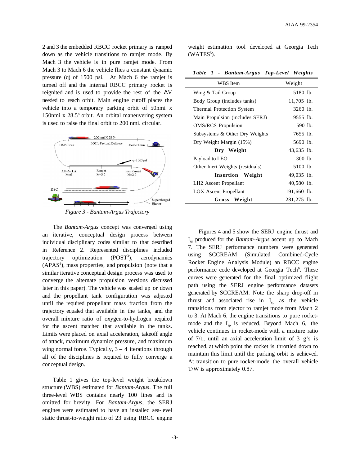2 and 3 the embedded RBCC rocket primary is ramped down as the vehicle transitions to ramjet mode. By Mach 3 the vehicle is in pure ramjet mode. From Mach 3 to Mach 6 the vehicle flies a constant dynamic pressure (q) of 1500 psi. At Mach 6 the ramjet is turned off and the internal RBCC primary rocket is reignited and is used to provide the rest of the ∆V needed to reach orbit. Main engine cutoff places the vehicle into a temporary parking orbit of 50nmi x 150nmi x 28.5° orbit. An orbital maneuvering system is used to raise the final orbit to 200 nmi. circular.



*Figure 3 - Bantam-Argus Trajectory*

The *Bantam-Argus* concept was converged using an iterative, conceptual design process between individual disciplinary codes similar to that described in Reference 2. Represented disciplines included trajectory optimization  $(POST<sup>3</sup>)$ , ), aerodynamics (APAS<sup>4</sup>), mass properties, and propulsion (note that a similar iterative conceptual design process was used to converge the alternate propulsion versions discussed later in this paper). The vehicle was scaled up or down and the propellant tank configuration was adjusted until the required propellant mass fraction from the trajectory equaled that available in the tanks, and the overall mixture ratio of oxygen-to-hydrogen required for the ascent matched that available in the tanks. Limits were placed on axial acceleration, takeoff angle of attack, maximum dynamics pressure, and maximum wing normal force. Typically,  $3 - 4$  iterations through all of the disciplines is required to fully converge a conceptual design.

Table 1 gives the top-level weight breakdown structure (WBS) estimated for *Bantam-Argus*. The full three-level WBS contains nearly 100 lines and is omitted for brevity. For *Bantam-Argus*, the SERJ engines were estimated to have an installed sea-level static thrust-to-weight ratio of 23 using RBCC engine weight estimation tool developed at Georgia Tech  $(WATES<sup>5</sup>).$ 

|  |  |  | Table 1 - Bantam-Argus Top-Level Weights |  |  |
|--|--|--|------------------------------------------|--|--|
|--|--|--|------------------------------------------|--|--|

| WBS Item                          | Weight       |
|-----------------------------------|--------------|
| Wing & Tail Group                 | 5180 lb.     |
| Body Group (includes tanks)       | $11,705$ lb. |
| Thermal Protection System         | 3260 lb.     |
| Main Propulsion (includes SERJ)   | 9555 lb.     |
| <b>OMS/RCS</b> Propulsion         | 590 lb.      |
| Subsystems & Other Dry Weights    | 7655 lb.     |
| Dry Weight Margin (15%)           | 5690 lb.     |
| Dry Weight                        | 43,635 lb.   |
| Payload to LEO                    | 300 lb.      |
| Other Inert Weights (residuals)   | 5100 lb.     |
| Insertion Weight                  | 49,035 lb.   |
| LH <sub>2</sub> Ascent Propellant | 40,580 lb.   |
| LOX Ascent Propellant             | 191,660 lb.  |
| Gross Weight                      | 281,275 lb.  |

Figures 4 and 5 show the SERJ engine thrust and Isp produced for the *Bantam-Argus* ascent up to Mach 7. The SERJ performance numbers were generated using SCCREAM (Simulated Combined-Cycle Rocket Engine Analysis Module) an RBCC engine performance code developed at Georgia Tech<sup>6</sup>. These curves were generated for the final optimized flight path using the SERJ engine performance datasets generated by SCCREAM. Note the sharp drop-off in thrust and associated rise in  $I_{\rm sn}$  as the vehicle transitions from ejector to ramjet mode from Mach 2 to 3. At Mach 6, the engine transitions to pure rocketmode and the  $I_{\rm SD}$  is reduced. Beyond Mach 6, the vehicle continues in rocket-mode with a mixture ratio of  $7/1$ , until an axial acceleration limit of 3 g's is reached, at which point the rocket is throttled down to maintain this limit until the parking orbit is achieved. At transition to pure rocket-mode, the overall vehicle T/W is approximately 0.87.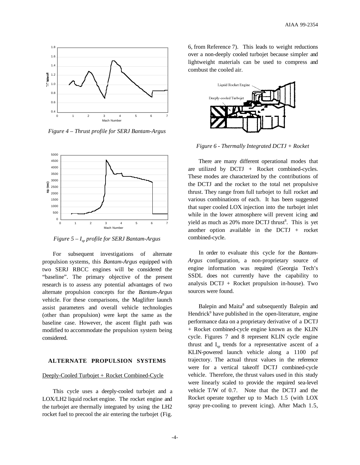

*Figure 4 – Thrust profile for SERJ Bantam-Argus*



*Figure 5 – Isp profile for SERJ Bantam-Argus*

For subsequent investigations of alternate propulsion systems, this *Bantam-Argus* equipped with two SERJ RBCC engines will be considered the "baseline". The primary objective of the present research is to assess any potential advantages of two alternate propulsion concepts for the *Bantam-Argus* vehicle. For these comparisons, the Maglifter launch assist parameters and overall vehicle technologies (other than propulsion) were kept the same as the baseline case. However, the ascent flight path was modified to accommodate the propulsion system being considered.

#### **ALTERNATE PROPULSION SYSTEMS**

#### Deeply-Cooled Turbojet + Rocket Combined-Cycle

This cycle uses a deeply-cooled turbojet and a LOX/LH2 liquid rocket engine. The rocket engine and the turbojet are thermally integrated by using the LH2 rocket fuel to precool the air entering the turbojet (Fig.

6, from Reference 7). This leads to weight reductions over a non-deeply cooled turbojet because simpler and lightweight materials can be used to compress and combust the cooled air.



*Figure 6 - Thermally Integrated DCTJ + Rocket*

There are many different operational modes that are utilized by  $DCTJ + Rocket$  combined-cycles. These modes are characterized by the contributions of the DCTJ and the rocket to the total net propulsive thrust. They range from full turbojet to full rocket and various combinations of each. It has been suggested that super cooled LOX injection into the turbojet inlet while in the lower atmosphere will prevent icing and yield as much as 20% more DCTJ thrust<sup>8</sup>. This is yet another option available in the DCTJ  $+$  rocket combined-cycle.

In order to evaluate this cycle for the *Bantam-Argus* configuration, a non-proprietary source of engine information was required (Georgia Tech's SSDL does not currently have the capability to analysis  $DCTJ + Rocket$  propulsion in-house). Two sources were found.

Balepin and Maita<sup>8</sup> and subsequently Balepin and Hendrick<sup>9</sup> have published in the open-literature, engine performance data on a proprietary derivative of a DCTJ + Rocket combined-cycle engine known as the KLIN cycle. Figures 7 and 8 represent KLIN cycle engine thrust and  $I_{\rm sn}$  trends for a representative ascent of a KLIN-powered launch vehicle along a 1100 psf trajectory. The actual thrust values in the reference were for a vertical takeoff DCTJ combined-cycle vehicle. Therefore, the thrust values used in this study were linearly scaled to provide the required sea-level vehicle T/W of 0.7. Note that the DCTJ and the Rocket operate together up to Mach 1.5 (with LOX spray pre-cooling to prevent icing). After Mach 1.5,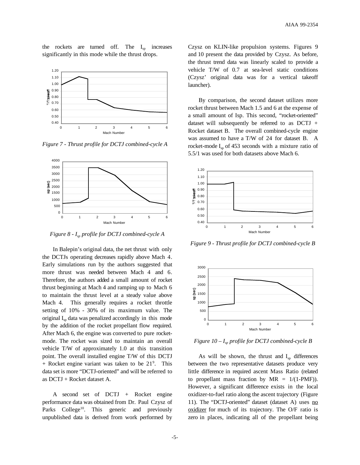the rockets are turned off. The  $I_{\rm sn}$  increases significantly in this mode while the thrust drops.



*Figure 7 - Thrust profile for DCTJ combined-cycle A*



*Figure 8 - Isp profile for DCTJ combined-cycle A*

In Balepin's original data, the net thrust with only the DCTJs operating decreases rapidly above Mach 4. Early simulations run by the authors suggested that more thrust was needed between Mach 4 and 6. Therefore, the authors added a small amount of rocket thrust beginning at Mach 4 and ramping up to Mach 6 to maintain the thrust level at a steady value above Mach 4. This generally requires a rocket throttle setting of 10% - 30% of its maximum value. The original  $I_{\rm{sn}}$  data was penalized accordingly in this mode by the addition of the rocket propellant flow required. After Mach 6, the engine was converted to pure rocketmode. The rocket was sized to maintain an overall vehicle T/W of approximately 1.0 at this transition point. The overall installed engine T/W of this DCTJ + Rocket engine variant was taken to be 21<sup>9</sup>. This data set is more "DCTJ-oriented" and will be referred to as DCTJ + Rocket dataset A.

A second set of DCTJ + Rocket engine performance data was obtained from Dr. Paul Czysz of Parks College<sup>10</sup>. This generic and previously unpublished data is derived from work performed by

Czysz on KLIN-like propulsion systems. Figures 9 and 10 present the data provided by Czysz. As before, the thrust trend data was linearly scaled to provide a vehicle T/W of 0.7 at sea-level static conditions (Czysz' original data was for a vertical takeoff launcher).

By comparison, the second dataset utilizes more rocket thrust between Mach 1.5 and 6 at the expense of a small amount of Isp. This second, "rocket-oriented" dataset will subsequently be referred to as DCTJ + Rocket dataset B. The overall combined-cycle engine was assumed to have a T/W of 24 for dataset B. A rocket-mode  $I_{\rm sn}$  of 453 seconds with a mixture ratio of 5.5/1 was used for both datasets above Mach 6.



*Figure 9 - Thrust profile for DCTJ combined-cycle B*



*Figure 10 – Isp profile for DCTJ combined-cycle B*

As will be shown, the thrust and  $I_{\rm SD}$  differences between the two representative datasets produce very little difference in required ascent Mass Ratio (related to propellant mass fraction by  $MR = 1/(1-PMF)$ . However, a significant difference exists in the local oxidizer-to-fuel ratio along the ascent trajectory (Figure 11). The "DCTJ-oriented" dataset (dataset A) uses no oxidizer for much of its trajectory. The O/F ratio is zero in places, indicating all of the propellant being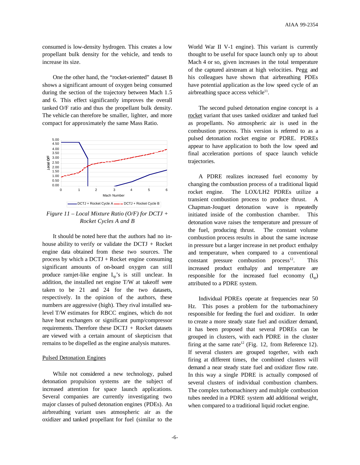consumed is low-density hydrogen. This creates a low propellant bulk density for the vehicle, and tends to increase its size.

One the other hand, the "rocket-oriented" dataset B shows a significant amount of oxygen being consumed during the section of the trajectory between Mach 1.5 and 6. This effect significantly improves the overall tanked O/F ratio and thus the propellant bulk density. The vehicle can therefore be smaller, lighter, and more compact for approximately the same Mass Ratio.



*Figure 11 – Local Mixture Ratio (O/F) for DCTJ + Rocket Cycles A and B*

It should be noted here that the authors had no inhouse ability to verify or validate the  $DCTJ + Rocket$ engine data obtained from these two sources. The process by which a  $DCTJ + R$  ocket engine consuming significant amounts of on-board oxygen can still produce ramjet-like engine  $I_{sp}$ 's is still unclear. In addition, the installed net engine T/W at takeoff were taken to be 21 and 24 for the two datasets, respectively. In the opinion of the authors, these numbers are aggressive (high). They rival installed sealevel T/W estimates for RBCC engines, which do not have heat exchangers or significant pump/compressor requirements. Therefore these DCTJ + Rocket datasets are viewed with a certain amount of skepticism that remains to be dispelled as the engine analysis matures.

#### Pulsed Detonation Engines

While not considered a new technology, pulsed detonation propulsion systems are the subject of increased attention for space launch applications. Several companies are currently investigating two major classes of pulsed detonation engines (PDEs). An airbreathing variant uses atmospheric air as the oxidizer and tanked propellant for fuel (similar to the

World War II V-1 engine). This variant is currently thought to be useful for space launch only up to about Mach 4 or so, given increases in the total temperature of the captured airstream at high velocities. Pegg and his colleagues have shown that airbreathing PDEs have potential application as the low speed cycle of an airbreathing space access vehicle $11$ .

The second pulsed detonation engine concept is a rocket variant that uses tanked oxidizer and tanked fuel as propellants. No atmospheric air is used in the combustion process. This version is referred to as a pulsed detonation rocket engine or PDRE. PDREs appear to have application to both the low speed and final acceleration portions of space launch vehicle trajectories.

A PDRE realizes increased fuel economy by changing the combustion process of a traditional liquid rocket engine. The LOX/LH2 PDREs utilize a transient combustion process to produce thrust. A Chapman-Jouguet detonation wave is repeatedly initiated inside of the combustion chamber. This detonation wave raises the temperature and pressure of the fuel, producing thrust. The constant volume combustion process results in about the same increase in pressure but a larger increase in net product enthalpy and temperature, when compared to a conventional constant pressure combustion process<sup>12</sup>. This increased product enthalpy and temperature are responsible for the increased fuel economy  $(I_{\infty})$ attributed to a PDRE system.

Individual PDREs operate at frequencies near 50 Hz. This poses a problem for the turbomachinery responsible for feeding the fuel and oxidizer. In order to create a more steady state fuel and oxidizer demand, it has been proposed that several PDREs can be grouped in clusters, with each PDRE in the cluster firing at the same rate<sup>12</sup> (Fig. 12, from Reference 12). If several clusters are grouped together, with each firing at different times, the combined clusters will demand a near steady state fuel and oxidizer flow rate. In this way a single PDRE is actually composed of several clusters of individual combustion chambers. The complex turbomachinery and multiple combustion tubes needed in a PDRE system add additional weight, when compared to a traditional liquid rocket engine.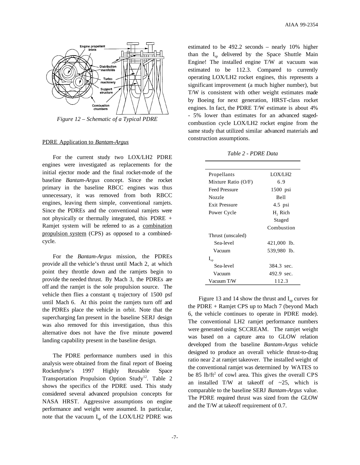

*Figure 12 – Schematic of a Typical PDRE*

# PDRE Application to *Bantam-Argus*

For the current study two LOX/LH2 PDRE engines were investigated as replacements for the initial ejector mode and the final rocket-mode of the baseline *Bantam-Argus* concept. Since the rocket primary in the baseline RBCC engines was thus unnecessary, it was removed from both RBCC engines, leaving them simple, conventional ramjets. Since the PDREs and the conventional ramjets were not physically or thermally integrated, this PDRE + Ramjet system will be referred to as a combination propulsion system (CPS) as opposed to a combinedcycle.

For the *Bantam-Argus* mission, the PDREs provide all the vehicle's thrust until Mach 2, at which point they throttle down and the ramjets begin to provide the needed thrust. By Mach 3, the PDREs are off and the ramjet is the sole propulsion source. The vehicle then flies a constant q trajectory of 1500 psf until Mach 6. At this point the ramjets turn off and the PDREs place the vehicle in orbit. Note that the supercharging fan present in the baseline SERJ design was also removed for this investigation, thus this alternative does not have the five minute powered landing capability present in the baseline design.

The PDRE performance numbers used in this analysis were obtained from the final report of Boeing Rocketdyne's 1997 Highly Reusable Space Transportation Propulsion Option Study<sup>12</sup>. Table 2 shows the specifics of the PDRE used. This study considered several advanced propulsion concepts for NASA HRST. Aggressive assumptions on engine performance and weight were assumed. In particular, note that the vacuum  $I_{\rm SD}$  of the LOX/LH2 PDRE was

estimated to be 492.2 seconds – nearly 10% higher than the  $I_{sp}$  delivered by the Space Shuttle Main Engine! The installed engine T/W at vacuum was estimated to be 112.3. Compared to currently operating LOX/LH2 rocket engines, this represents a significant improvement (a much higher number), but T/W is consistent with other weight estimates made by Boeing for next generation, HRST-class rocket engines. In fact, the PDRE T/W estimate is about 4% - 5% lower than estimates for an advanced stagedcombustion cycle LOX/LH2 rocket engine from the same study that utilized similar advanced materials and construction assumptions.

#### *Table 2 - PDRE Data*

| Propellants           | LOX/LH2     |  |
|-----------------------|-------------|--|
| Mixture Ratio $(O/F)$ | 6.9         |  |
| <b>Feed Pressure</b>  | 1500 psi    |  |
| Nozzle                | <b>Bell</b> |  |
| <b>Exit Pressure</b>  | $4.5$ psi   |  |
| Power Cycle           | H, Rich     |  |
|                       | Staged      |  |
|                       | Combustion  |  |
| Thrust (unscaled)     |             |  |
| Sea-level             | 421,000 lb. |  |
| Vacuum                | 539,980 lb. |  |
| $I_{sp}$              |             |  |
| Sea-level             | 384.3 sec.  |  |
| Vacuum                | 492.9 sec.  |  |
| Vacuum T/W            | 112.3       |  |

Figure 13 and 14 show the thrust and  $I_{\rm sn}$  curves for the PDRE + Ramjet CPS up to Mach 7 (beyond Mach 6, the vehicle continues to operate in PDRE mode). The conventional LH2 ramjet performance numbers were generated using SCCREAM. The ramjet weight was based on a capture area to GLOW relation developed from the baseline *Bantam-Argus* vehicle designed to produce an overall vehicle thrust-to-drag ratio near 2 at ramjet takeover. The installed weight of the conventional ramjet was determined by WATES to be 85  $lb/ft^2$  of cowl area. This gives the overall CPS an installed T/W at takeoff of  $\sim$ 25, which is comparable to the baseline SERJ *Bantam-Argus* value. The PDRE required thrust was sized from the GLOW and the T/W at takeoff requirement of 0.7.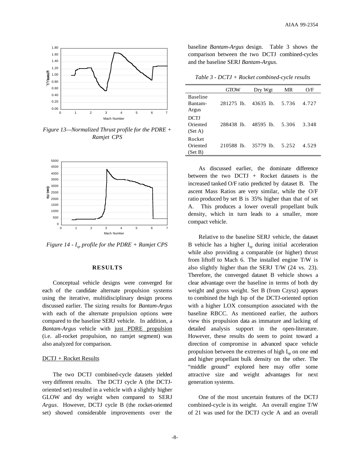

*Figure 13—Normalized Thrust profile for the PDRE + Ramjet CPS*



*Figure 14 - Isp profile for the PDRE + Ramjet CPS*

# **RESULTS**

Conceptual vehicle designs were converged for each of the candidate alternate propulsion systems using the iterative, multidisciplinary design process discussed earlier. The sizing results for *Bantam-Argus* with each of the alternate propulsion options were compared to the baseline SERJ vehicle. In addition, a *Bantam-Argus* vehicle with just PDRE propulsion (i.e. all-rocket propulsion, no ramjet segment) was also analyzed for comparison.

#### DCTJ + Rocket Results

The two DCTJ combined-cycle datasets yielded very different results. The DCTJ cycle A (the DCTJoriented set) resulted in a vehicle with a slightly higher GLOW and dry weight when compared to SERJ *Argus*. However, DCTJ cycle B (the rocket-oriented set) showed considerable improvements over the baseline *Bantam-Argus* design. Table 3 shows the comparison between the two DCTJ combined-cycles and the baseline SERJ *Bantam-Argus*.

*Table 3 - DCTJ + Rocket combined-cycle results*

|                                     | <b>GTOW</b> | Dry Wgt     | MR    | O/F   |
|-------------------------------------|-------------|-------------|-------|-------|
| <b>Baseline</b><br>Bantam-<br>Argus | 281275 lb.  | $43635$ lb. | 5.736 | 4.727 |
| <b>DCTJ</b><br>Oriented<br>(Set A)  | 288438 lb.  | 48595 lb.   | 5.306 | 3.348 |
| Rocket<br>Oriented<br>(Set B)       | 210588 lb.  | 35779 lb.   | 5.252 | 4.529 |

As discussed earlier, the dominate difference between the two DCTJ + Rocket datasets is the increased tanked O/F ratio predicted by dataset B. The ascent Mass Ratios are very similar, while the O/F ratio produced by set B is 35% higher than that of set A. This produces a lower overall propellant bulk density, which in turn leads to a smaller, more compact vehicle.

Relative to the baseline SERJ vehicle, the dataset B vehicle has a higher  $I_{sp}$  during initial acceleration while also providing a comparable (or higher) thrust from liftoff to Mach 6. The installed engine T/W is also slightly higher than the SERJ T/W (24 vs. 23). Therefore, the converged dataset B vehicle shows a clear advantage over the baseline in terms of both dry weight and gross weight. Set B (from Czysz) appears to combined the high Isp of the DCTJ-oriented option with a higher LOX consumption associated with the baseline RBCC. As mentioned earlier, the authors view this propulsion data as immature and lacking of detailed analysis support in the open-literature. However, these results do seem to point toward a direction of compromise in advanced space vehicle propulsion between the extremes of high  $I_{\rm SD}$  on one end and higher propellant bulk density on the other. The "middle ground" explored here may offer some attractive size and weight advantages for next generation systems.

One of the most uncertain features of the DCTJ combined-cycle is its weight. An overall engine T/W of 21 was used for the DCTJ cycle A and an overall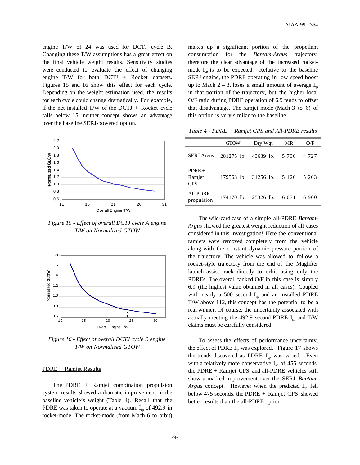engine T/W of 24 was used for DCTJ cycle B. Changing these T/W assumptions has a great effect on the final vehicle weight results. Sensitivity studies were conducted to evaluate the effect of changing engine T/W for both DCTJ + Rocket datasets. Figures 15 and 16 show this effect for each cycle. Depending on the weight estimation used, the results for each cycle could change dramatically. For example, if the net installed  $T/W$  of the  $DCTJ + R$  ocket cycle falls below 15, neither concept shows an advantage over the baseline SERJ-powered option.



*Figure 15 - Effect of overall DCTJ cycle A engine T/W on Normalized GTOW*



*Figure 16 - Effect of overall DCTJ cycle B engine T/W on Normalized GTOW*

#### PDRE + Ramjet Results

The PDRE  $+$  Ramjet combination propulsion system results showed a dramatic improvement in the baseline vehicle's weight (Table 4). Recall that the PDRE was taken to operate at a vacuum  $I_{sp}$  of 492.9 in rocket-mode. The rocket-mode (from Mach 6 to orbit)

makes up a significant portion of the propellant consumption for the *Bantam-Argus* trajectory, therefore the clear advantage of the increased rocketmode  $I_{\rm sn}$  is to be expected. Relative to the baseline SERJ engine, the PDRE operating in low speed boost up to Mach  $2 - 3$ , loses a small amount of average  $I_{\infty}$ in that portion of the trajectory, but the higher local O/F ratio during PDRE operation of 6.9 tends to offset that disadvantage. The ramjet mode (Mach 3 to 6) of this option is very similar to the baseline.

*Table 4 - PDRE + Ramjet CPS and All-PDRE results*

|                                 | <b>GTOW</b>          | Dry Wgt   | MR    | O/F   |
|---------------------------------|----------------------|-----------|-------|-------|
| <b>SERJ</b> Argus               | 281275 lb. 43639 lb. |           | 5.736 | 4.727 |
| $PDRE+$<br>Ramjet<br><b>CPS</b> | 179563 lb.           | 31256 lb. | 5.126 | 5.203 |
| All-PDRE<br>propulsion          | 174170 lb. 25326 lb. |           | 6.071 | 6.900 |

The wild-card case of a simple all-PDRE *Bantam-Argus* showed the greatest weight reduction of all cases considered in this investigation! Here the conventional ramjets were removed completely from the vehicle along with the constant dynamic pressure portion of the trajectory. The vehicle was allowed to follow a rocket-style trajectory from the end of the Maglifter launch assist track directly to orbit using only the PDREs. The overall tanked O/F in this case is simply 6.9 (the highest value obtained in all cases). Coupled with nearly a 500 second  $I_{\rm{sp}}$  and an installed PDRE T/W above 112, this concept has the potential to be a real winner. Of course, the uncertainty associated with actually meeting the 492.9 second PDRE  $I_{sp}$  and T/W claims must be carefully considered.

To assess the effects of performance uncertainty, the effect of PDRE  $I_{sn}$  was explored. Figure 17 shows the trends discovered as PDRE  $I_{sp}$  was varied. Even with a relatively more conservative  $I_{\text{sp}}$  of 455 seconds, the PDRE + Ramjet CPS and all-PDRE vehicles still show a marked improvement over the SERJ *Bantam-*Argus concept. However when the predicted I<sub>sp</sub> fell below 475 seconds, the PDRE + Ramjet CPS showed better results than the all-PDRE option.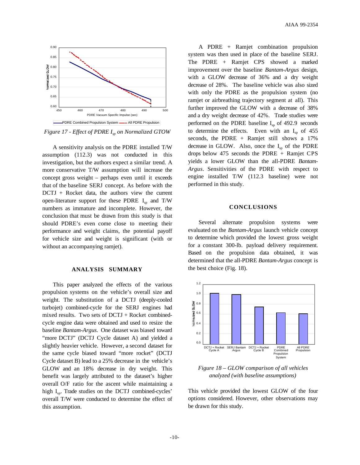

*Figure 17 - Effect of PDRE Isp on Normalized GTOW*

A sensitivity analysis on the PDRE installed T/W assumption (112.3) was not conducted in this investigation, but the authors expect a similar trend. A more conservative T/W assumption will increase the concept gross weight – perhaps even until it exceeds that of the baseline SERJ concept. As before with the DCTJ + Rocket data, the authors view the current open-literature support for these PDRE  $I_{sn}$  and T/W numbers as immature and incomplete. However, the conclusion that must be drawn from this study is that should PDRE's even come close to meeting their performance and weight claims, the potential payoff for vehicle size and weight is significant (with or without an accompanying ramjet).

#### **ANALYSIS SUMMARY**

This paper analyzed the effects of the various propulsion systems on the vehicle's overall size and weight. The substitution of a DCTJ (deeply-cooled turbojet) combined-cycle for the SERJ engines had mixed results. Two sets of DCTJ + Rocket combinedcycle engine data were obtained and used to resize the baseline *Bantam-Argus*. One dataset was biased toward "more DCTJ" (DCTJ Cycle dataset A) and yielded a slightly heavier vehicle. However, a second dataset for the same cycle biased toward "more rocket" (DCTJ Cycle dataset B) lead to a 25% decrease in the vehicle's GLOW and an 18% decrease in dry weight. This benefit was largely attributed to the dataset's higher overall O/F ratio for the ascent while maintaining a high  $I_{sn}$ . Trade studies on the DCTJ combined-cycles' overall T/W were conducted to determine the effect of this assumption.

A PDRE + Ramjet combination propulsion system was then used in place of the baseline SERJ. The PDRE + Ramjet CPS showed a marked improvement over the baseline *Bantam-Argus* design, with a GLOW decrease of 36% and a dry weight decrease of 28%. The baseline vehicle was also sized with only the PDRE as the propulsion system (no ramjet or airbreathing trajectory segment at all). This further improved the GLOW with a decrease of 38% and a dry weight decrease of 42%. Trade studies were performed on the PDRE baseline  $I_{\rm sn}$  of 492.9 seconds to determine the effects. Even with an  $I_{\rm{sp}}$  of 455 seconds, the PDRE + Ramjet still shows a 17% decrease in GLOW. Also, once the  $I_{sp}$  of the PDRE drops below 475 seconds the PDRE + Ramjet CPS yields a lower GLOW than the all-PDRE *Bantam-Argus*. Sensitivities of the PDRE with respect to engine installed T/W (112.3 baseline) were not performed in this study.

#### **CONCLUSIONS**

Several alternate propulsion systems were evaluated on the *Bantam-Argus* launch vehicle concept to determine which provided the lowest gross weight for a constant 300-lb. payload delivery requirement. Based on the propulsion data obtained, it was determined that the all-PDRE *Bantam-Argus* concept is the best choice (Fig. 18).



*Figure 18 – GLOW comparison of all vehicles analyzed (with baseline assumptions)*

This vehicle provided the lowest GLOW of the four options considered. However, other observations may be drawn for this study.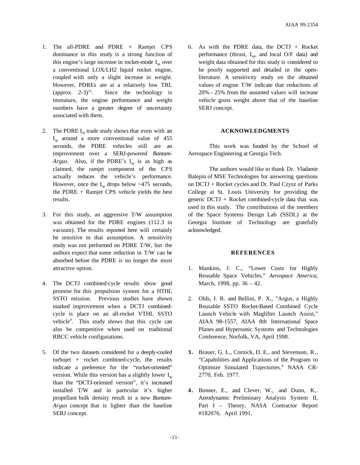- 1. The all-PDRE and PDRE + Ramjet CPS dominance in this study is a strong function of this engine's large increase in rocket-mode  $I_{so}$  over a conventional LOX/LH2 liquid rocket engine, coupled with only a slight increase in weight. However, PDREs are at a relatively low TRL (approx.  $2-3$ )<sup>12</sup>. Since the technology is immature, the engine performance and weight numbers have a greater degree of uncertainty associated with them.
- 2. The PDRE  $I_{\text{sp}}$  trade study shows that even with an  $I_{\rm{sp}}$  around a more conventional value of 455 seconds, the PDRE vehicles still are an improvement over a SERJ-powered *Bantam-Argus*. Also, if the PDRE's  $I_{sp}$  is as high as claimed, the ramjet component of the CPS actually reduces the vehicle's performance. However, once the  $I_{\rm SD}$  drops below  $\sim$ 475 seconds, the PDRE + Ramjet CPS vehicle yields the best results.
- 3. For this study, an aggressive T/W assumption was obtained for the PDRE engines (112.3 in vacuum). The results reported here will certainly be sensitive to that assumption. A sensitivity study was not performed on PDRE T/W, but the authors expect that some reduction in T/W can be absorbed before the PDRE is no longer the most attractive option.
- 4. The DCTJ combined-cycle results show good promise for this propulsion system for a HTHL SSTO mission. Previous studies have shown marked improvement when a DCTJ combinedcycle is place on an all-rocket VTHL SSTO vehicle9 . This study shows that this cycle can also be competitive when used on traditional RBCC vehicle configurations.
- 5. Of the two datasets considered for a deeply-cooled turbojet + rocket combined-cycle, the results indicate a preference for the "rocket-oriented" version. While this version has a slightly lower  $I_{\rm sn}$ than the "DCTJ-oriented version", it's increased installed T/W and in particular it's higher propellant bulk density result in a new *Bantam-Argus* concept that is lighter than the baseline SERJ concept.

6. As with the PDRE data, the DCTJ + Rocket performance (thrust,  $I_{sp}$ , and local O/F data) and weight data obtained for this study is considered to be poorly supported and detailed in the openliterature. A sensitivity study on the obtained values of engine T/W indicate that reductions of 20% - 25% from the assumed values will increase vehicle gross weight above that of the baseline SERJ concept.

# **ACKNOWLEDGMENTS**

This work was funded by the School of Aerospace Engineering at Georgia Tech.

The authors would like to thank Dr. Vladamir Balepin of MSE Technologies for answering questions on DCTJ + Rocket cycles and Dr. Paul Czysz of Parks College at St. Louis University for providing the generic  $DCTJ + Rocket combined-cycle data that was$ used in this study. The contributions of the members of the Space Systems Design Lab (SSDL) at the Georgia Institute of Technology are gratefully acknowledged.

# **REFERENCES**

- 1. Mankins, J. C., "Lower Costs for Highly Reusable Space Vehicles," *Aerospace America*, March, 1998, pp. 36 – 42.
- 2. Olds, J. R. and Bellini, P. X., "Argus, a Highly Reusable SSTO Rocket-Based Combined Cycle Launch Vehicle with Maglifter Launch Assist," AIAA 98-1557, AIAA 8th International Space Planes and Hypersonic Systems and Technologies Conference, Norfolk, VA, April 1998.
- **3.** Brauer, G. L., Cornick, D. E., and Stevenson, R., "Capabilities and Applications of the Program to Optimize Simulated Trajectories." NASA CR-2770, Feb. 1977.
- **4.** Bonner, E., and Clever, W., and Dunn, K,. Aerodynamic Preliminary Analysis System II, Part I – Theory, NASA Contractor Report #182076. April 1991.